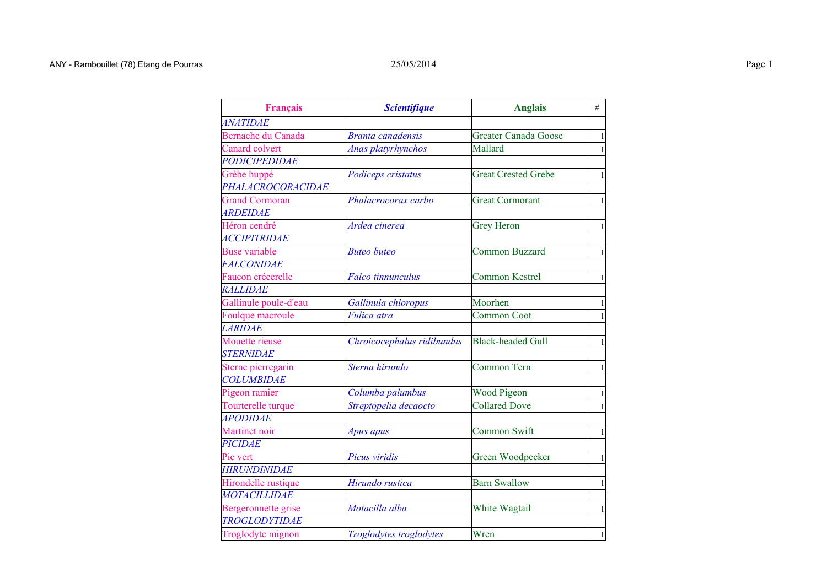| <b>Français</b>           | <b>Scientifique</b>        | <b>Anglais</b>             | #              |
|---------------------------|----------------------------|----------------------------|----------------|
| <i><b>ANATIDAE</b></i>    |                            |                            |                |
| <b>Bernache du Canada</b> | <b>Branta canadensis</b>   | Greater Canada Goose       | $\,1\,$        |
| Canard colvert            | Anas platyrhynchos         | Mallard                    | $\,1\,$        |
| PODICIPEDIDAE             |                            |                            |                |
| Grèbe huppé               | Podiceps cristatus         | <b>Great Crested Grebe</b> | $\mathbf{1}$   |
| PHALACROCORACIDAE         |                            |                            |                |
| <b>Grand Cormoran</b>     | Phalacrocorax carbo        | <b>Great Cormorant</b>     | $\,1\,$        |
| <b>ARDEIDAE</b>           |                            |                            |                |
| Héron cendré              | Ardea cinerea              | <b>Grey Heron</b>          | $\mathbf{1}$   |
| <b>ACCIPITRIDAE</b>       |                            |                            |                |
| <b>Buse variable</b>      | <b>Buteo buteo</b>         | <b>Common Buzzard</b>      | $\mathbf{1}$   |
| <b>FALCONIDAE</b>         |                            |                            |                |
| Faucon crécerelle         | <b>Falco tinnunculus</b>   | <b>Common Kestrel</b>      | $\mathbf{1}$   |
| <b>RALLIDAE</b>           |                            |                            |                |
| Gallinule poule-d'eau     | Gallinula chloropus        | Moorhen                    | $\overline{1}$ |
| Foulque macroule          | Fulica atra                | <b>Common Coot</b>         | $\mathbf{1}$   |
| <b>LARIDAE</b>            |                            |                            |                |
| Mouette rieuse            | Chroicocephalus ridibundus | <b>Black-headed Gull</b>   | $\mathbf{1}$   |
| <b>STERNIDAE</b>          |                            |                            |                |
| Sterne pierregarin        | Sterna hirundo             | Common Tern                | $\,1\,$        |
| <b>COLUMBIDAE</b>         |                            |                            |                |
| Pigeon ramier             | Columba palumbus           | <b>Wood Pigeon</b>         | $\mathbf{1}$   |
| Tourterelle turque        | Streptopelia decaocto      | <b>Collared Dove</b>       | $\mathbf{1}$   |
| <b>APODIDAE</b>           |                            |                            |                |
| Martinet noir             | Apus apus                  | Common Swift               | $\,1\,$        |
| <b>PICIDAE</b>            |                            |                            |                |
| Pic vert                  | Picus viridis              | Green Woodpecker           | $\mathbf{1}$   |
| <b>HIRUNDINIDAE</b>       |                            |                            |                |
| Hirondelle rustique       | Hirundo rustica            | <b>Barn Swallow</b>        | $\,1\,$        |
| <b>MOTACILLIDAE</b>       |                            |                            |                |
| Bergeronnette grise       | Motacilla alba             | White Wagtail              | $\,1\,$        |
| <b>TROGLODYTIDAE</b>      |                            |                            |                |
| Troglodyte mignon         | Troglodytes troglodytes    | Wren                       | $\mathbf{1}$   |